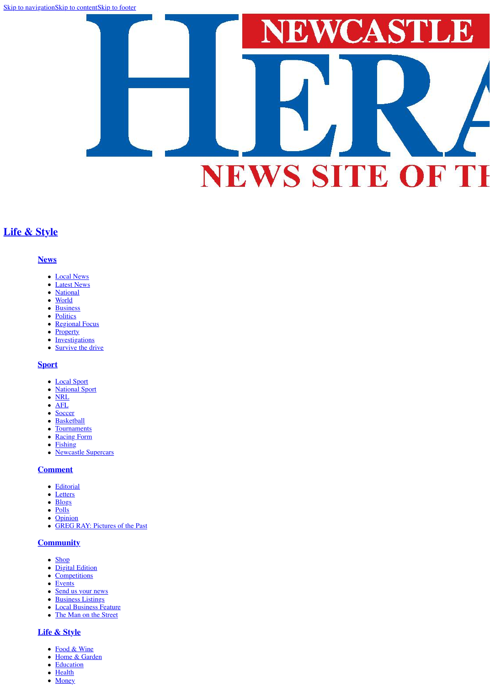[Skip to navigation](#page-0-0)[Skip to content](http://www.theherald.com.au/story/3127752/top-10-most-creative-holiday-lessons/?cs=34#content)[Skip to footer](http://www.theherald.com.au/story/3127752/top-10-most-creative-holiday-lessons/?cs=34#footer)



# **[Life & Style](http://www.theherald.com.au/life-style/)**

### <span id="page-0-0"></span>**[News](http://www.theherald.com.au/news/)**

- [Local News](http://www.theherald.com.au/news/local-news/)
- [Latest News](http://www.theherald.com.au/news/latest-news/)  $\bullet$
- **[National](http://www.theherald.com.au/news/national/)**  $\bullet$
- [World](http://www.theherald.com.au/news/world/)  $\bullet$
- [Business](http://www.theherald.com.au/news/business/)
- [Politics](http://www.theherald.com.au/news/politics/)
- [Regional Focus](http://www.theherald.com.au/news/regional-focus/)
- [Property](http://www.theherald.com.au/news/property/)
- **[Investigations](http://www.theherald.com.au/news/investigations/)**
- **[Survive the drive](http://www.theherald.com.au/news/survive-the-drive/)**  $\bullet$

- [Local Sport](http://www.theherald.com.au/sport/local-sport/)
- [National Sport](http://www.theherald.com.au/sport/national-sport/)
- [NRL](http://www.theherald.com.au/sport/nrl/)
- [AFL](http://www.theherald.com.au/sport/afl/)  $\bullet$
- **[Soccer](http://www.theherald.com.au/sport/soccer/)**  $\bullet$
- **[Basketball](http://www.theherald.com.au/sport/basketball/)**  $\bullet$
- **[Tournaments](http://www.theherald.com.au/sport/tournaments/)**  $\bullet$
- [Racing Form](http://www.theherald.com.au/sport/racing-form/)  $\bullet$
- [Fishing](http://www.theherald.com.au/sport/fishing/)
- [Newcastle Supercars](http://www.theherald.com.au/sport/newcastle-supercars/)  $\bullet$

# **[Sport](http://www.theherald.com.au/sport/)**

# **[Comment](http://www.theherald.com.au/opinion/)**

- [Editorial](http://www.theherald.com.au/opinion/editorial/)
- [Letters](http://www.theherald.com.au/opinion/letters/)
- [Blogs](http://www.theherald.com.au/opinion/blogs/)
- [Polls](http://www.theherald.com.au/opinion/polls/)
- [Opinion](http://www.theherald.com.au/opinion/opinion/)
- [GREG RAY: Pictures of the Past](http://www.theherald.com.au/opinion/greg-ray-pictures-of-the-past/)

# **[Community](http://www.theherald.com.au/community/)**

- [Shop](http://theherald.mybigcommerce.com/)
- [Digital Edition](https://newcastleherald.digitaleditions.com.au/index.php)
- [Competitions](http://www.theherald.com.au/community/competitions/)
- [Events](http://www.theherald.com.au/community/events/)
- [Send us your news](http://www.theherald.com.au/community/forms/)
- [Business Listings](http://www.theherald.com.au/business/)
- [Local Business Feature](http://www.theherald.com.au/community/business-feature/)
- [The Man on the Street](http://www.theherald.com.au/homeless/)

# **[Life & Style](http://www.theherald.com.au/life-style/)**

- [Food & Wine](http://www.theherald.com.au/life-style/food-wine/)
- [Home & Garden](http://www.theherald.com.au/life-style/home-garden/)
- [Education](http://www.theherald.com.au/life-style/education/)
- [Health](http://www.theherald.com.au/life-style/health/)
- [Money](http://www.theherald.com.au/life-style/money/)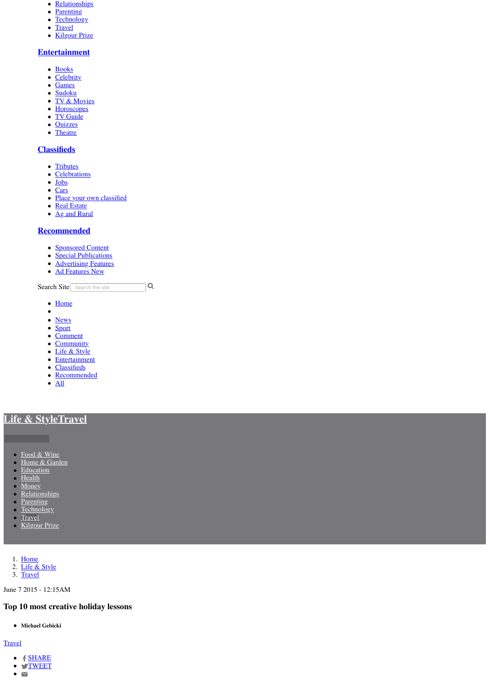- [Relationships](http://www.theherald.com.au/life-style/relationships/)
- [Parenting](http://www.theherald.com.au/life-style/parenting/)
- [Technology](http://www.theherald.com.au/life-style/technology/)
- [Travel](http://www.theherald.com.au/life-style/travel/)
- [Kilgour Prize](http://www.theherald.com.au/life-style/kilgour-prize/)

## **[Entertainment](http://www.theherald.com.au/entertainment/)**

- [Books](http://www.theherald.com.au/entertainment/books/)
- [Celebrity](http://www.theherald.com.au/entertainment/celebrity/)
- [Games](http://www.theherald.com.au/entertainment/games/)
- [Sudoku](http://www.theherald.com.au/entertainment/sudoku/)
- [TV & Movies](http://www.theherald.com.au/entertainment/tv-movies/)
- [Horoscopes](http://www.theherald.com.au/entertainment/horoscopes/)
- [TV Guide](http://www.theherald.com.au/entertainment/tv-guide/)
- [Quizzes](http://www.theherald.com.au/entertainment/quizzes-puzzles/)
- [Theatre](http://www.theherald.com.au/entertainment/theatre/)

# **[Classifieds](http://www.theherald.com.au/classifieds/notices/)**

- [Tributes](http://tributes.theherald.com.au/obituaries/theherald-au/)
- [Celebrations](http://celebrations.theherald.com.au/celebration/theherald-au/)
- [Jobs](http://www.theherald.com.au/jobs/)
- [Cars](http://www.countrycars.com.au/)
- [Place your own classified](https://advertisers.com.au/?pub=NCH)
- [Real Estate](https://www.domain.com.au/sale/newcastle-nsw-2300/)
- [Ag and Rural](https://www.agtrader.com.au/search/nsw--hunter,-central-&-north-coasts--newcastle-&-region?utm_source=theherald.com.au&utm_medium=classifieds&utm_campaign=regionals)

# **[Recommended](http://www.theherald.com.au/business-feature/)**

- [Sponsored Content](http://www.theherald.com.au/recommended/)
- [Special Publications](http://www.theherald.com.au/special-publications/)
- **[Advertising Features](http://www.theherald.com.au/advertising-feature/)**
- [Ad Features New](http://www.theherald.com.au/recommended/ad-features-new/)

 $|Q|$ Search Site Search the site

- [Home](http://www.theherald.com.au/)
- $\bullet$
- [News](http://www.theherald.com.au/news/)
- [Sport](http://www.theherald.com.au/sport/)
- [Comment](http://www.theherald.com.au/opinion/)
- [Community](http://www.theherald.com.au/community/)
- [Life & Style](http://www.theherald.com.au/life-style/)
- [Entertainment](http://www.theherald.com.au/entertainment/)
- **[Classifieds](http://www.theherald.com.au/classifieds/notices/)**
- [Recommended](http://www.theherald.com.au/business-feature/)
- $\bullet$   $\overline{All}$  $\overline{All}$  $\overline{All}$

# **[Life & Style](http://www.theherald.com.au/life-style/)[Travel](http://www.theherald.com.au/life-style/travel/)**

- [Food & Wine](http://www.theherald.com.au/life-style/food-wine/)
- [Home & Garden](http://www.theherald.com.au/life-style/home-garden/)
- [Education](http://www.theherald.com.au/life-style/education/)
- [Health](http://www.theherald.com.au/life-style/health/)
- [Money](http://www.theherald.com.au/life-style/money/)
- **[Relationships](http://www.theherald.com.au/life-style/relationships/)**
- [Parenting](http://www.theherald.com.au/life-style/parenting/)
- [Technology](http://www.theherald.com.au/life-style/technology/)
- [Travel](http://www.theherald.com.au/life-style/travel/)
- [Kilgour Prize](http://www.theherald.com.au/life-style/kilgour-prize/)
- 1. [Home](http://www.theherald.com.au/)
- 2. [Life & Style](http://www.theherald.com.au/life-style/)
- 3. [Travel](http://www.theherald.com.au/life-style/travel/)

June 7 2015 - 12:15AM

# **Top 10 most creative holiday lessons**

**Michael Gebicki**

## **[Travel](http://www.theherald.com.au/life-style/travel/)**

- $\bullet$   $f$  [SHARE](https://www.facebook.com/sharer/sharer.php?u=http://www.theherald.com.au/story/3127752/top-10-most-creative-holiday-lessons/?cs=34)
- **S[TWEET](http://twitter.com/share?url=http://www.theherald.com.au/story/3127752/top-10-most-creative-holiday-lessons/?cs=34&text=Top%2010%20most%20creative%20holiday%20lessons&via=newcastleherald)**
- $\bullet$   $\blacktriangleright$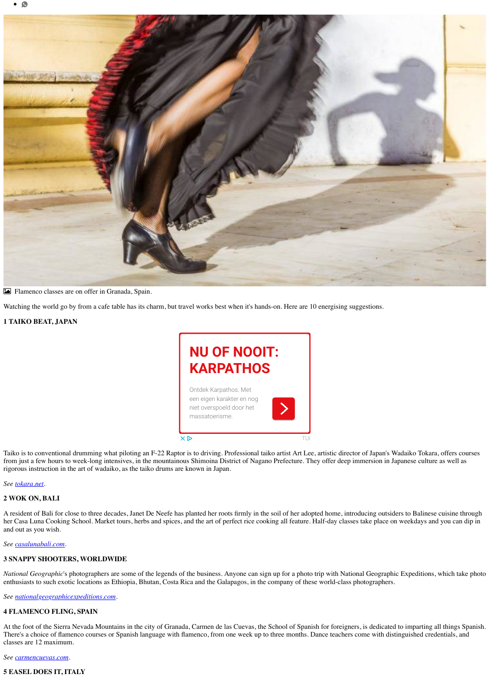

! Flamenco classes are on offer in Granada, Spain.

Watching the world go by from a cafe table has its charm, but travel works best when it's hands-on. Here are 10 energising suggestions.

**1 TAIKO BEAT, JAPAN**

Taiko is to conventional drumming what piloting an F-22 Raptor is to driving. Professional taiko artist Art Lee, artistic director of Japan's Wadaiko Tokara, offers courses from just a few hours to week-long intensives, in the mountainous Shimoina District of Nagano Prefecture. They offer deep immersion in Japanese culture as well as rigorous instruction in the art of wadaiko, as the taiko drums are known in Japan.

#### *See [tokara.net.](http://tokara.net/)*

#### **2 WOK ON, BALI**

A resident of Bali for close to three decades, Janet De Neefe has planted her roots firmly in the soil of her adopted home, introducing outsiders to Balinese cuisine through her Casa Luna Cooking School. Market tours, herbs and spices, and the art of perfect rice cooking all feature. Half-day classes take place on weekdays and you can dip in and out as you wish.

#### *See [casalunabali.com.](http://casalunabali.com/)*

#### **3 SNAPPY SHOOTERS, WORLDWIDE**

*National Geographic*'s photographers are some of the legends of the business. Anyone can sign up for a photo trip with National Geographic Expeditions, which take photo enthusiasts to such exotic locations as Ethiopia, Bhutan, Costa Rica and the Galapagos, in the company of these world-class photographers.

*See [nationalgeographicexpeditions.com.](http://nationalgeographicexpeditions.com/)*

#### **4 FLAMENCO FLING, SPAIN**

At the foot of the Sierra Nevada Mountains in the city of Granada, Carmen de las Cuevas, the School of Spanish for foreigners, is dedicated to imparting all things Spanish. There's a choice of flamenco courses or Spanish language with flamenco, from one week up to three months. Dance teachers come with distinguished credentials, and classes are 12 maximum.

*See [carmencuevas.com](http://carmencuevas.com/).*

## **5 EASEL DOES IT, ITALY**

# **[NU OF NOOIT:](https://googleads.g.doubleclick.net/aclk?sa=l&ai=Cc4qf-kCAWvLwDpiUywXezouoB7688KlQttnd3NYGh5Xe_dEIEAEg2_G5V2CRrJOF_BegAafgxPwDyAEBqQIcJdGLJo60PuACAKgDAcgDmwSqBP4BT9AU54P2qjEJGBCo4oeK7k8KtUlIfS5IMRL9Ps644S_B5cT9BfaiFVcFF_8ZY4tEokFlKYyVbL1mtNWfO5NQSSIjveM3Vr0KpdK0qqvmpU3J1MIW9vBJfTiPRf7spsC44EhhYgLeq6h6Hg3P18ORL-MUlfWsfTsb6oLfqJEHwAnq7EFBoNulXvPEUKCQ5Kw1V8hJMmqsJeBb1VQXeIGbssgzycok92p5TTGZcugFFi2LSqd5cfuluyxU8DFIDZPx2V3wGjzl1nrc7EAdFVYRxTb3fYfnZ0myDO5i_IVAdNFwHYsbSi1ObkA-3g-jrnpjO9fLEKrj_QqZJ4b8MejgBAGAB-G8_AeoB6a-G9gHAdIIBwiAYRABGAGxCS5iozhjgz_agAoD2BMC&num=1&sig=AOD64_0sOIDjL0gtDRDvw510yZg7TRXqcQ&client=ca-pub-7888676654047393&adurl=https://t.myvisualiq.net/click_pixel%3Fet%3Dc%26ago%3D212%26ao%3D740%26aca%3D877212915%26si%3D-1306%26ci%3D-7%26pi%3D44314184775%26ad%3D-7%26sv1%3D-7%26advt%3D-7%26chnl%3D-7%26vndr%3D1157%26red%3Dhttps://www.tui.nl/p/vakantie/griekenland/karpathos/%3Futm_source%3Dgoogle%26utm_medium%3Dbanner_regulier%26utm_campaign%3Djp_prospecting_griekenland)  KARPATHOS**

Ontdek Karpathos. Met

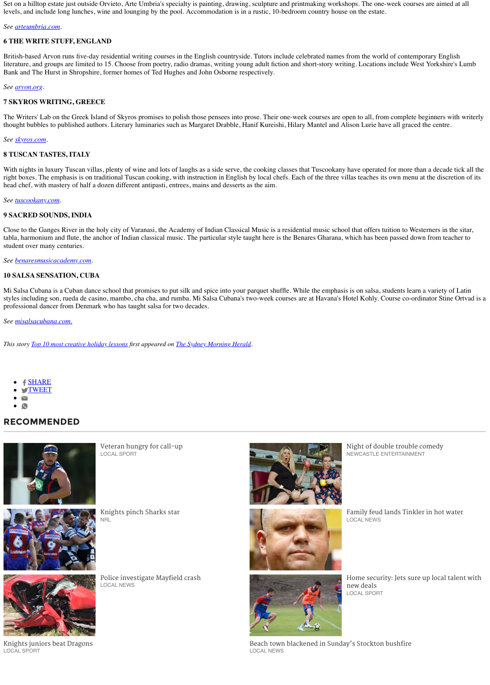Set on a hilltop estate just outside Orvieto, Arte Umbria's specialty is painting, drawing, sculpture and printmaking workshops. The one-week courses are aimed at all levels, and include long lunches, wine and lounging by the pool. Accommodation is in a rustic, 10-bedroom country house on the estate.

#### *See [arteumbria.com.](http://arteumbria.com/)*

#### **6 THE WRITE STUFF, ENGLAND**

British-based Arvon runs five-day residential writing courses in the English countryside. Tutors include celebrated names from the world of contemporary English literature, and groups are limited to 15. Choose from poetry, radio dramas, writing young adult fiction and short-story writing. Locations include West Yorkshire's Lumb Bank and The Hurst in Shropshire, former homes of Ted Hughes and John Osborne respectively.

#### *See [arvon.org](http://arvon.org/).*

#### **7 SKYROS WRITING, GREECE**

The Writers' Lab on the Greek Island of Skyros promises to polish those pensees into prose. Their one-week courses are open to all, from complete beginners with writerly thought bubbles to published authors. Literary luminaries such as Margaret Drabble, Hanif Kureishi, Hilary Mantel and Alison Lurie have all graced the centre.

#### *See [skyros.com](http://skyros.com/).*

#### **8 TUSCAN TASTES, ITALY**

With nights in luxury Tuscan villas, plenty of wine and lots of laughs as a side serve, the cooking classes that Tuscookany have operated for more than a decade tick all the right boxes. The emphasis is on traditional Tuscan cooking, with instruction in English by local chefs. Each of the three villas teaches its own menu at the discretion of its head chef, with mastery of half a dozen different antipasti, entrees, mains and desserts as the aim.

#### *See [tuscookany.com.](http://tuscookany.com/)*

#### **9 SACRED SOUNDS, INDIA**

Close to the Ganges River in the holy city of Varanasi, the Academy of Indian Classical Music is a residential music school that offers tuition to Westerners in the sitar, tabla, harmonium and flute, the anchor of Indian classical music. The particular style taught here is the Benares Gharana, which has been passed down from teacher to student over many centuries.

*See [benaresmusicacademy.com](http://benaresmusicacademy.com/).*

#### **10 SALSA SENSATION, CUBA**

Mi Salsa Cubana is a Cuban dance school that promises to put silk and spice into your parquet shuffle. While the emphasis is on salsa, students learn a variety of Latin styles including son, rueda de casino, mambo, cha cha, and rumba. Mi Salsa Cubana's two-week courses are at Havana's Hotel Kohly. Course co-ordinator Stine Ortvad is a professional dancer from Denmark who has taught salsa for two decades.

#### *See [misalsacubana.com.](http://misalsacubana.com./)*

*This story [Top 10 most creative holiday lessons](http://www.smh.com.au/travel/top-10-most-creative-holiday-lessons-20150601-gh6brb.html) first appeared on [The Sydney Morning Herald](http://www.smh.com.au/).*

- f [SHARE](https://www.facebook.com/sharer/sharer.php?u=http://www.theherald.com.au/story/3127752/top-10-most-creative-holiday-lessons/?cs=34)
- **S[TWEET](http://twitter.com/share?url=http://www.theherald.com.au/story/3127752/top-10-most-creative-holiday-lessons/?cs=34&text=Top%2010%20most%20creative%20holiday%20lessons&via=newcastleherald)**
- 
- 

# **RECOMMENDED**







[Night of double trouble comedy](http://www.theherald.com.au/story/5213264/night-of-double-trouble-comedy/?cs=2372) NEWCASTLE ENTERTAINMENT



[Knights pinch Sharks star](http://www.theherald.com.au/story/5220893/knights-pinch-sharks-star/?cs=306) NRL



[Family feud lands Tinkler in hot water](http://www.theherald.com.au/story/5187195/family-feud-lands-tinkler-in-hot-water/?cs=305) LOCAL NEWS



[Police investigate Mayfield crash](http://www.theherald.com.au/story/5220953/police-investigate-mayfield-crash/?cs=305) LOCAL NEWS



[Home security: Jets sure up local talent with](http://www.theherald.com.au/story/5220985/home-security-jets-sure-up-local-talent-with-new-deals/?cs=306) new deals LOCAL SPORT

[Knights juniors beat Dragons](http://www.theherald.com.au/story/5220805/knights-juniors-beat-dragons/?cs=306) LOCAL SPORT

[Beach town blackened in Sunday's Stockton bushfire](http://www.theherald.com.au/story/5221050/beach-town-blackened-in-sundays-stockton-bushfire/?cs=305) LOCAL NEWS